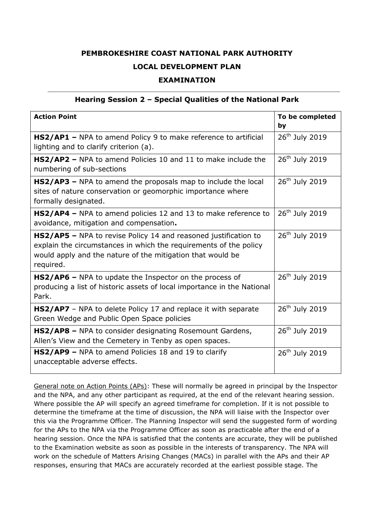## **PEMBROKESHIRE COAST NATIONAL PARK AUTHORITY LOCAL DEVELOPMENT PLAN**

## **EXAMINATION**

## **Hearing Session 2 – Special Qualities of the National Park**

| <b>Action Point</b>                                                                                                                                                                                             | To be completed<br>by      |
|-----------------------------------------------------------------------------------------------------------------------------------------------------------------------------------------------------------------|----------------------------|
| HS2/AP1 - NPA to amend Policy 9 to make reference to artificial<br>lighting and to clarify criterion (a).                                                                                                       | $26th$ July 2019           |
| HS2/AP2 - NPA to amend Policies 10 and 11 to make include the<br>numbering of sub-sections                                                                                                                      | 26 <sup>th</sup> July 2019 |
| HS2/AP3 - NPA to amend the proposals map to include the local<br>sites of nature conservation or geomorphic importance where<br>formally designated.                                                            | 26 <sup>th</sup> July 2019 |
| HS2/AP4 - NPA to amend policies 12 and 13 to make reference to<br>avoidance, mitigation and compensation.                                                                                                       | $26th$ July 2019           |
| HS2/AP5 - NPA to revise Policy 14 and reasoned justification to<br>explain the circumstances in which the requirements of the policy<br>would apply and the nature of the mitigation that would be<br>required. | 26 <sup>th</sup> July 2019 |
| HS2/AP6 - NPA to update the Inspector on the process of<br>producing a list of historic assets of local importance in the National<br>Park.                                                                     | 26 <sup>th</sup> July 2019 |
| <b>HS2/AP7</b> - NPA to delete Policy 17 and replace it with separate<br>Green Wedge and Public Open Space policies                                                                                             | 26 <sup>th</sup> July 2019 |
| HS2/AP8 - NPA to consider designating Rosemount Gardens,<br>Allen's View and the Cemetery in Tenby as open spaces.                                                                                              | $26th$ July 2019           |
| <b>HS2/AP9 - NPA to amend Policies 18 and 19 to clarify</b><br>unacceptable adverse effects.                                                                                                                    | 26 <sup>th</sup> July 2019 |

General note on Action Points (APs): These will normally be agreed in principal by the Inspector and the NPA, and any other participant as required, at the end of the relevant hearing session. Where possible the AP will specify an agreed timeframe for completion. If it is not possible to determine the timeframe at the time of discussion, the NPA will liaise with the Inspector over this via the Programme Officer. The Planning Inspector will send the suggested form of wording for the APs to the NPA via the Programme Officer as soon as practicable after the end of a hearing session. Once the NPA is satisfied that the contents are accurate, they will be published to the Examination website as soon as possible in the interests of transparency. The NPA will work on the schedule of Matters Arising Changes (MACs) in parallel with the APs and their AP responses, ensuring that MACs are accurately recorded at the earliest possible stage. The